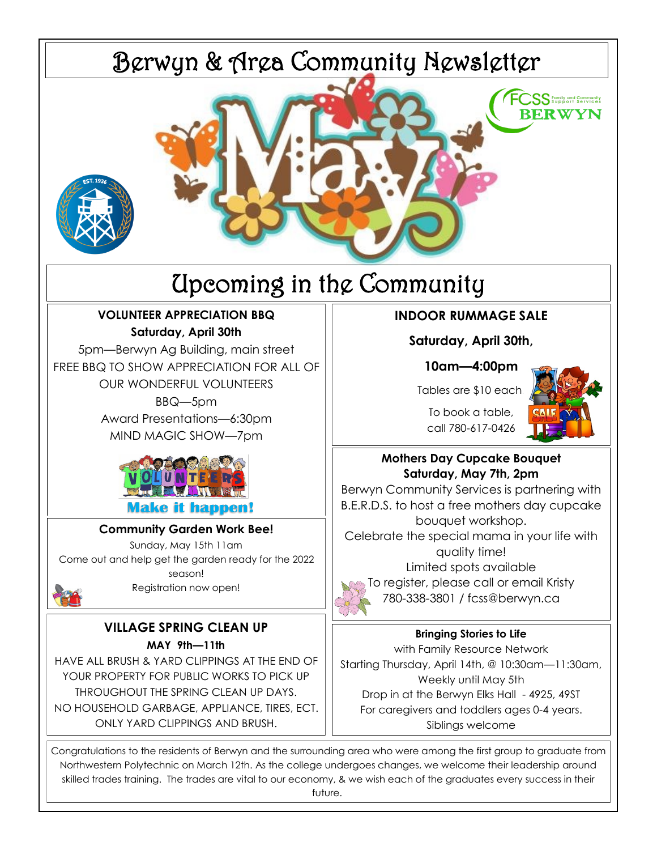

future.